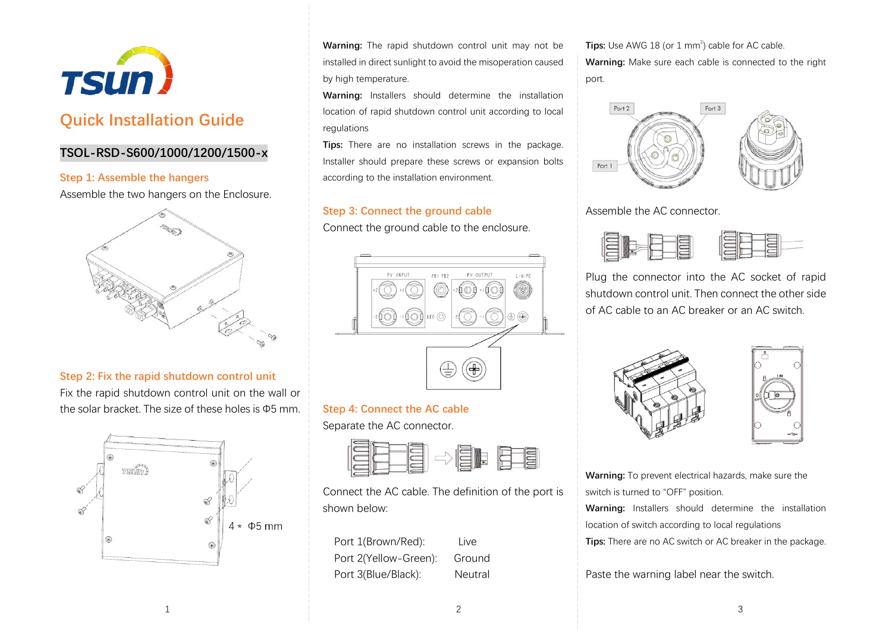

# **Quick Installation Guide**

# **TSOL-RSD-S600/1000/1200/1500-x**

#### **Step 1: Assemble the hangers**

Assemble the two hangers on the Enclosure.



#### **Step 2: Fix the rapid shutdown control unit**

Fix the rapid shutdown control unit on the wall or the solar bracket. The size of these holes is Φ5 mm.



**Warning:** The rapid shutdown control unit may not be installed in direct sunlight to avoid the misoperation caused by high temperature.

**Warning:** Installers should determine the installation location of rapid shutdown control unit according to local regulations

**Tips:** There are no installation screws in the package. Installer should prepare these screws or expansion bolts according to the installation environment.

# **Step 3: Connect the ground cable**

Connect the ground cable to the enclosure.



**Step 4: Connect the AC cable** Separate the AC connector.



Connect the AC cable. The definition of the port is shown below:

Port 1(Brown/Red): Live Port 2(Yellow-Green): Ground Port 3(Blue/Black): Neutral

**Tips:** Use AWG 18 (or 1  $mm<sup>2</sup>$ ) cable for AC cable. **Warning:** Make sure each cable is connected to the right port.



Assemble the AC connector.



Plug the connector into the AC socket of rapid shutdown control unit. Then connect the other side of AC cable to an AC breaker or an AC switch.





**Warning:** To prevent electrical hazards, make sure the switch is turned to "OFF" position.

**Warning:** Installers should determine the installation location of switch according to local regulations **Tips:** There are no AC switch or AC breaker in the package.

Paste the warning label near the switch.

1  $\overline{\phantom{a}}$  3